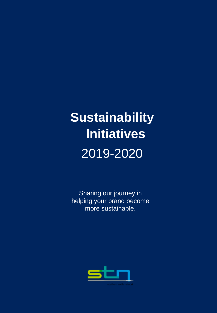# **Sustainability Initiatives**  2019-2020

Sharing our journey in helping your brand become more sustainable.

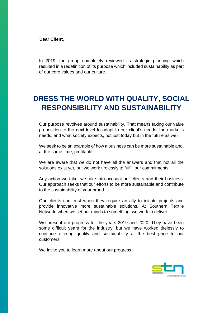**Dear Client,**

In 2019, the group completely reviewed its strategic planning which resulted in a redefinition of its purpose which included sustainability as part of our core values and our culture.

### **DRESS THE WORLD WITH QUALITY, SOCIAL RESPONSIBILITY AND SUSTAINABILITY**

Our purpose revolves around sustainability. That means taking our value proposition to the next level to adapt to our client's needs, the market's needs, and what society expects, not just today but in the future as well.

We seek to be an example of how a business can be more sustainable and, at the same time, profitable.

We are aware that we do not have all the answers and that not all the solutions exist yet, but we work tirelessly to fulfill our commitments.

Any action we take, we take into account our clients and their business. Our approach seeks that our efforts to be more sustainable and contribute to the sustainability of your brand.

Our clients can trust when they require an ally to initiate projects and provide innovative more sustainable solutions. At Southern Textile Network, when we set our minds to something, we work to deliver.

We present our progress for the years 2019 and 2020. They have been some difficult years for the industry, but we have worked tirelessly to continue offering quality and sustainability at the best price to our customers.

We invite you to learn more about our progress.

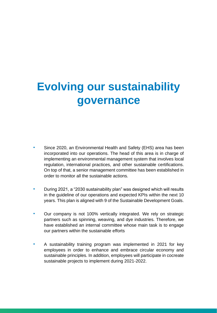## **Evolving our sustainability governance**

- Since 2020, an Environmental Health and Safety (EHS) area has been incorporated into our operations. The head of this area is in charge of implementing an environmental management system that involves local regulation, international practices, and other sustainable certifications. On top of that, a senior management committee has been established in order to monitor all the sustainable actions.
- During 2021, a "2030 sustainability plan" was designed which will results in the guideline of our operations and expected KPIs within the next 10 years. This plan is aligned with 9 of the Sustainable Development Goals.
- Our company is not 100% vertically integrated. We rely on strategic partners such as spinning, weaving, and dye industries. Therefore, we have established an internal committee whose main task is to engage our partners within the sustainable efforts
- A sustainability training program was implemented in 2021 for key employees in order to enhance and embrace circular economy and sustainable principles. In addition, employees will participate in cocreate sustainable projects to implement during 2021-2022.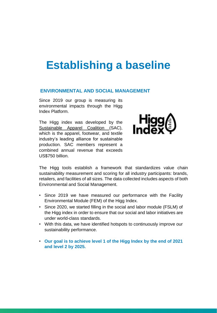### **Establishing a baseline**

#### **ENVIRONMENTAL AND SOCIAL MANAGEMENT**

Since 2019 our group is measuring its environmental impacts through the Higg Index Platform.

The Higg index was developed by the [Sustainable](https://apparelcoalition.org/the-sac/) [Apparel](https://apparelcoalition.org/the-sac/) [Coalition](https://apparelcoalition.org/the-sac/) (SAC), which is the apparel, footwear, and textile industry's leading alliance for sustainable production. SAC members represent a combined annual revenue that exceeds US\$750 billion.



The Higg tools establish a framework that standardizes value chain sustainability measurement and scoring for all industry participants: brands, retailers, and facilities of all sizes. The data collected includes aspects of both Environmental and Social Management.

- Since 2019 we have measured our performance with the Facility Environmental Module (FEM) of the Higg Index.
- Since 2020, we started filling in the social and labor module (FSLM) of the Higg index in order to ensure that our social and labor initiatives are under world-class standards.
- With this data, we have identified hotspots to continuously improve our sustainability performance.
- **Our goal is to achieve level 1 of the Higg Index by the end of 2021 and level 2 by 2025.**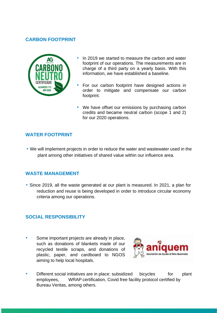#### **CARBON FOOTPRINT**



- In 2019 we started to measure the carbon and water footprint of our operations. The measurements are in charge of a third party on a yearly basis. With this information, we have established a baseline.
- For our carbon footprint have designed actions in order to mitigate and compensate our carbon footprint.
- We have offset our emissions by purchasing carbon credits and became neutral carbon (scope 1 and 2) for our 2020 operations.

#### **WATER FOOTPRINT**

• We will implement projects in order to reduce the water and wastewater used in the plant among other initiatives of shared value within our influence area.

#### **WASTE MANAGEMENT**

• Since 2019, all the waste generated at our plant is measured. In 2021, a plan for reduction and reuse is being developed in order to introduce circular economy criteria among our operations.

#### **SOCIAL RESPONSIBILITY**

• Some important projects are already in place, such as donations of blankets made of our recycled textile scraps, and donations of plastic, paper, and cardboard to NGOS aiming to help local hospitals.



Different social initiatives are in place: subsidized bicycles for plant employees, WRAP certification, Covid free facility protocol certified by Bureau Veritas, among others.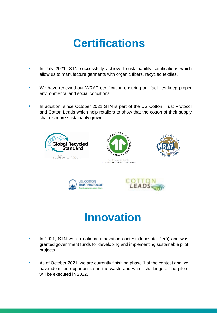### **Certifications**

- In July 2021, STN successfully achieved sustainability certifications which allow us to manufacture garments with organic fibers, recycled textiles.
- We have renewed our WRAP certification ensuring our facilities keep proper environmental and social conditions.
- In addition, since October 2021 STN is part of the US Cotton Trust Protocol and Cotton Leads which help retailers to show that the cotton of their supply chain is more sustainably grown.



### **Innovation**

- In 2021, STN won a national innovation contest (Innovate Perú) and was granted government funds for developing and implementing sustainable pilot projects.
- As of October 2021, we are currently finishing phase 1 of the contest and we have identified opportunities in the waste and water challenges. The pilots will be executed in 2022.